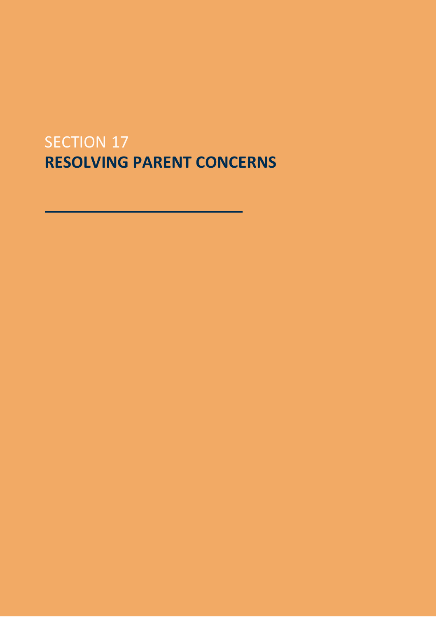## SECTION 17 **RESOLVING PARENT CONCERNS**